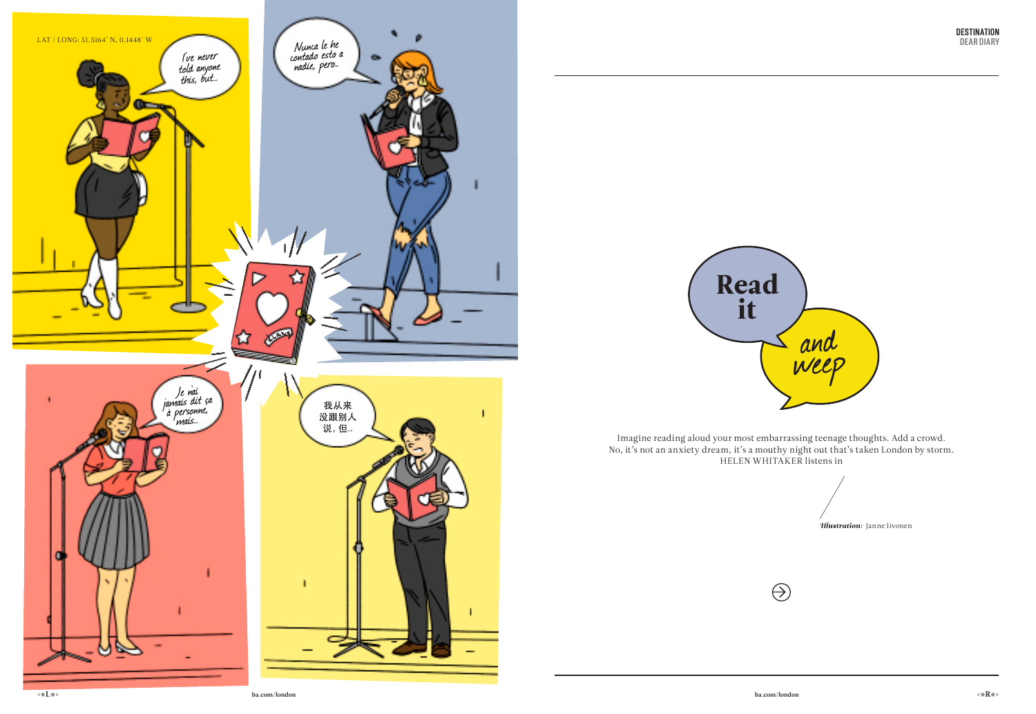**<#L#> ba.com/london ba.com/london <#R#>**

Imagine reading aloud your most embarrassing teenage thoughts. Add a crowd. No, it's not an anxiety dream, it's a mouthy night out that's taken London by storm. HELEN WHITAKER listens in

Illustration: Janne Iivonen



 $\bigcirc$ 



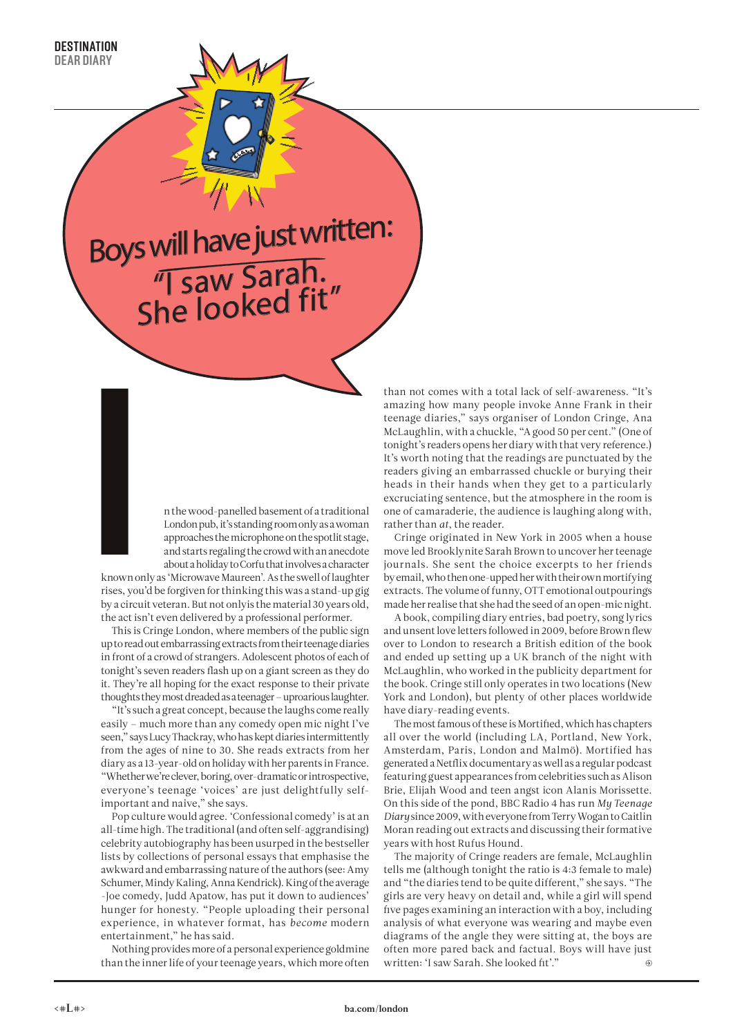## Boys will have just written: "I saw Sarah. She looked fit"

n the wood-panelled basement of a traditional London pub, it's standing room only as a woman approaches the microphone on the spotlit stage, and starts regaling the crowd with an anecdote about a holiday to Corfu that involves a character

known only as 'Microwave Maureen'. As the swell of laughter rises, you'd be forgiven for thinking this was a stand-up gig by a circuit veteran. But not onlyis the material 30 years old, the act isn't even delivered by a professional performer. known o<br>rises, you<br>by a circu

This is Cringe London, where members of the public sign up to read out embarrassing extracts from their teenage diaries in front of a crowd of strangers. Adolescent photos of each of tonight's seven readers flash up on a giant screen as they do it. They're all hoping for the exact response to their private thoughts they most dreaded as a teenager – uproarious laughter.

"It's such a great concept, because the laughs come really easily – much more than any comedy open mic night I've seen," says Lucy Thackray, who has kept diaries intermittently from the ages of nine to 30. She reads extracts from her diary as a 13-year-old on holiday with her parents in France. "Whether we're clever, boring, over-dramatic or introspective, everyone's teenage 'voices' are just delightfully selfimportant and naive," she says.

Pop culture would agree. 'Confessional comedy' is at an all-time high. The traditional (and often self-aggrandising) celebrity autobiography has been usurped in the bestseller lists by collections of personal essays that emphasise the awkward and embarrassing nature of the authors (see: Amy Schumer, Mindy Kaling, Anna Kendrick). King of the average -Joe comedy, Judd Apatow, has put it down to audiences' hunger for honesty. "People uploading their personal experience, in whatever format, has *become* modern entertainment," he has said.

Nothing provides more of a personal experience goldmine than the inner life of your teenage years, which more often

than not comes with a total lack of self-awareness. "It's amazing how many people invoke Anne Frank in their teenage diaries," says organiser of London Cringe, Ana McLaughlin, with a chuckle, "A good 50 per cent." (One of tonight's readers opens her diary with that very reference.) It's worth noting that the readings are punctuated by the readers giving an embarrassed chuckle or burying their heads in their hands when they get to a particularly excruciating sentence, but the atmosphere in the room is one of camaraderie, the audience is laughing along with, rather than *at*, the reader.

Cringe originated in New York in 2005 when a house move led Brooklynite Sarah Brown to uncover her teenage journals. She sent the choice excerpts to her friends by email, who then one-upped her with their own mortifying extracts. The volume of funny, OTT emotional outpourings made her realise that she had the seed of an open-mic night.

A book, compiling diary entries, bad poetry, song lyrics and unsent love letters followed in 2009, before Brown flew over to London to research a British edition of the book and ended up setting up a UK branch of the night with McLaughlin, who worked in the publicity department for the book. Cringe still only operates in two locations (New York and London), but plenty of other places worldwide have diary-reading events.

The most famous of these is Mortified, which has chapters all over the world (including LA, Portland, New York, Amsterdam, Paris, London and Malmö). Mortified has generated a Netflix documentary as well as a regular podcast featuring guest appearances from celebrities such as Alison Brie, Elijah Wood and teen angst icon Alanis Morissette. On this side of the pond, BBC Radio 4 has run *My Teenage Diary* since 2009, with everyone from Terry Wogan to Caitlin Moran reading out extracts and discussing their formative years with host Rufus Hound.

The majority of Cringe readers are female, McLaughlin tells me (although tonight the ratio is 4:3 female to male) and "the diaries tend to be quite different," she says. "The girls are very heavy on detail and, while a girl will spend five pages examining an interaction with a boy, including analysis of what everyone was wearing and maybe even diagrams of the angle they were sitting at, the boys are often more pared back and factual. Boys will have just written: 'I saw Sarah. She looked fit'."  $\odot$